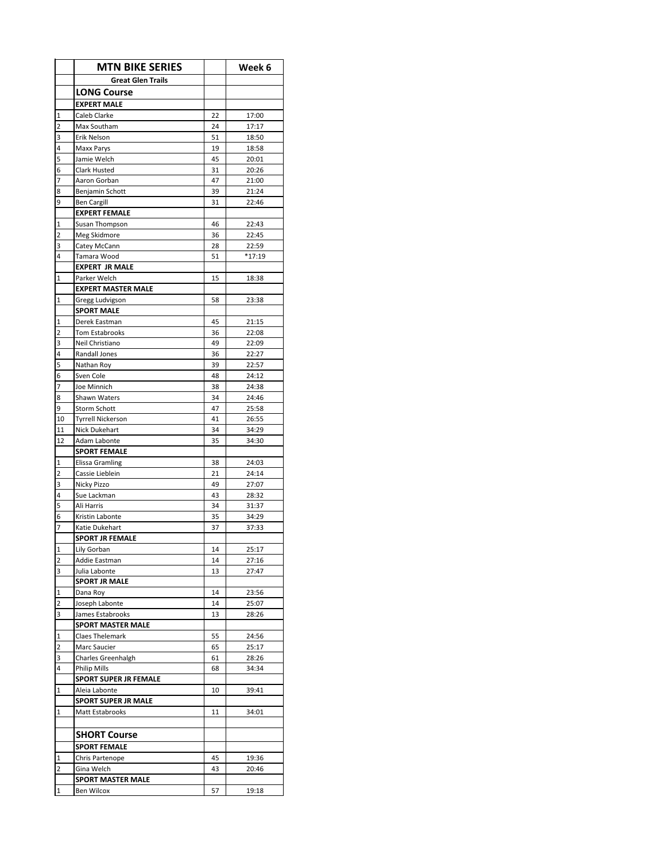|                               | <b>MTN BIKE SERIES</b>                 |          | Week 6         |
|-------------------------------|----------------------------------------|----------|----------------|
|                               | <b>Great Glen Trails</b>               |          |                |
|                               | <b>LONG Course</b>                     |          |                |
|                               | <b>EXPERT MALE</b>                     |          |                |
| $\mathbf 1$                   | Caleb Clarke                           | 22       | 17:00          |
| 2                             | Max Southam                            | 24       | 17:17          |
| 3                             | Erik Nelson                            | 51       | 18:50          |
| 4                             | Maxx Parys                             | 19       | 18:58          |
| 5                             | Jamie Welch                            | 45       | 20:01          |
| 6                             | Clark Husted                           | 31       | 20:26          |
| $\overline{7}$<br>8           | Aaron Gorban<br>Benjamin Schott        | 47<br>39 | 21:00<br>21:24 |
| 9                             | <b>Ben Cargill</b>                     | 31       | 22:46          |
|                               | <b>EXPERT FEMALE</b>                   |          |                |
| $\overline{1}$                | Susan Thompson                         | 46       | 22:43          |
| $\overline{2}$                | Meg Skidmore                           | 36       | 22:45          |
| 3                             | Catey McCann                           | 28       | 22:59          |
| 4                             | Tamara Wood                            | 51       | $*17:19$       |
|                               | <b>EXPERT JR MALE</b>                  |          |                |
| 1                             | Parker Welch                           | 15       | 18:38          |
|                               | <b>EXPERT MASTER MALE</b>              |          |                |
| $\mathbf{1}$                  | Gregg Ludvigson                        | 58       | 23:38          |
|                               | <b>SPORT MALE</b>                      |          |                |
| $\mathbf 1$<br>$\overline{2}$ | Derek Eastman<br><b>Tom Estabrooks</b> | 45<br>36 | 21:15<br>22:08 |
| 3                             | Neil Christiano                        | 49       | 22:09          |
| 4                             | <b>Randall Jones</b>                   | 36       | 22:27          |
| 5                             | Nathan Roy                             | 39       | 22:57          |
| 6                             | Sven Cole                              | 48       | 24:12          |
| $\overline{7}$                | Joe Minnich                            | 38       | 24:38          |
| 8                             | Shawn Waters                           | 34       | 24:46          |
| 9                             | Storm Schott                           | 47       | 25:58          |
| 10                            | <b>Tyrrell Nickerson</b>               | 41       | 26:55          |
| 11                            | Nick Dukehart                          | 34       | 34:29          |
| 12                            | Adam Labonte                           | 35       | 34:30          |
|                               | <b>SPORT FEMALE</b>                    |          |                |
| 1                             | <b>Elissa Gramling</b>                 | 38       | 24:03          |
| $\overline{2}$                | Cassie Lieblein                        | 21       | 24:14          |
| 3<br>4                        | Nicky Pizzo<br>Sue Lackman             | 49<br>43 | 27:07<br>28:32 |
| 5                             | Ali Harris                             | 34       | 31:37          |
| 6                             | Kristin Labonte                        | 35       | 34:29          |
| $\overline{7}$                | Katie Dukehart                         | 37       | 37:33          |
|                               | <b>SPORT JR FEMALE</b>                 |          |                |
| 1                             | Lily Gorban                            | 14       | 25:17          |
| $\overline{2}$                | Addie Eastman                          | 14       | 27:16          |
| 3                             | Julia Labonte                          | 13       | 27:47          |
|                               | <b>SPORT JR MALE</b>                   |          |                |
| $\mathbf 1$                   | Dana Roy                               | 14       | 23:56          |
| $\overline{2}$                | Joseph Labonte                         | 14       | 25:07          |
| 3                             | James Estabrooks                       | 13       | 28:26          |
|                               | <b>SPORT MASTER MALE</b>               |          |                |
| $\mathbf 1$<br>$\overline{2}$ | Claes Thelemark<br>Marc Saucier        | 55       | 24:56          |
| 3                             | Charles Greenhalgh                     | 65<br>61 | 25:17<br>28:26 |
| 4                             | Philip Mills                           | 68       | 34:34          |
|                               | <b>SPORT SUPER JR FEMALE</b>           |          |                |
| $\mathbf 1$                   | Aleia Labonte                          | 10       | 39:41          |
|                               | <b>SPORT SUPER JR MALE</b>             |          |                |
| $\mathbf 1$                   | Matt Estabrooks                        | 11       | 34:01          |
|                               |                                        |          |                |
|                               | <b>SHORT Course</b>                    |          |                |
|                               | <b>SPORT FEMALE</b>                    |          |                |
| $\mathbf 1$                   | Chris Partenope                        | 45       | 19:36          |
| $\overline{2}$                | Gina Welch                             | 43       | 20:46          |
|                               | <b>SPORT MASTER MALE</b>               |          |                |
| $\mathbf 1$                   | <b>Ben Wilcox</b>                      | 57       | 19:18          |